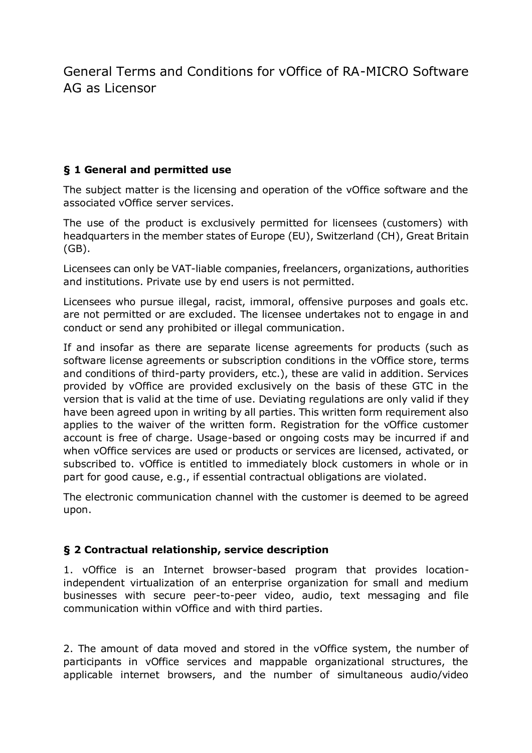General Terms and Conditions for vOffice of RA-MICRO Software AG as Licensor

## **§ 1 General and permitted use**

The subject matter is the licensing and operation of the vOffice software and the associated vOffice server services.

The use of the product is exclusively permitted for licensees (customers) with headquarters in the member states of Europe (EU), Switzerland (CH), Great Britain (GB).

Licensees can only be VAT-liable companies, freelancers, organizations, authorities and institutions. Private use by end users is not permitted.

Licensees who pursue illegal, racist, immoral, offensive purposes and goals etc. are not permitted or are excluded. The licensee undertakes not to engage in and conduct or send any prohibited or illegal communication.

If and insofar as there are separate license agreements for products (such as software license agreements or subscription conditions in the vOffice store, terms and conditions of third-party providers, etc.), these are valid in addition. Services provided by vOffice are provided exclusively on the basis of these GTC in the version that is valid at the time of use. Deviating regulations are only valid if they have been agreed upon in writing by all parties. This written form requirement also applies to the waiver of the written form. Registration for the vOffice customer account is free of charge. Usage-based or ongoing costs may be incurred if and when vOffice services are used or products or services are licensed, activated, or subscribed to. vOffice is entitled to immediately block customers in whole or in part for good cause, e.g., if essential contractual obligations are violated.

The electronic communication channel with the customer is deemed to be agreed upon.

## **§ 2 Contractual relationship, service description**

1. vOffice is an Internet browser-based program that provides locationindependent virtualization of an enterprise organization for small and medium businesses with secure peer-to-peer video, audio, text messaging and file communication within vOffice and with third parties.

2. The amount of data moved and stored in the vOffice system, the number of participants in vOffice services and mappable organizational structures, the applicable internet browsers, and the number of simultaneous audio/video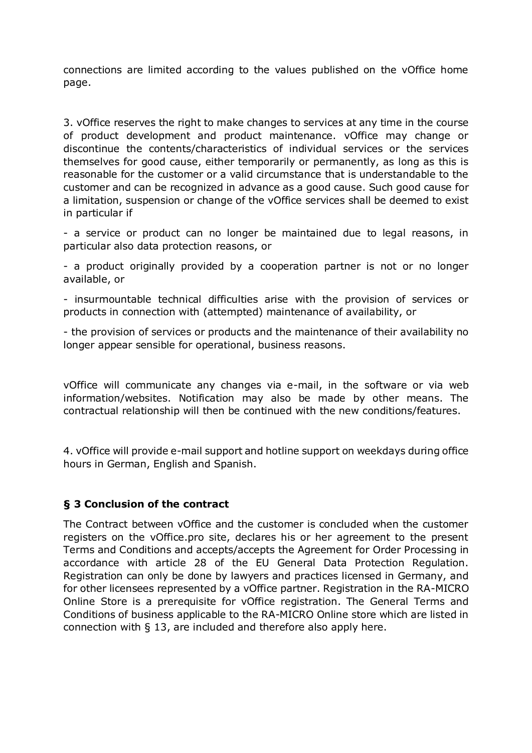connections are limited according to the values published on the vOffice home page.

3. vOffice reserves the right to make changes to services at any time in the course of product development and product maintenance. vOffice may change or discontinue the contents/characteristics of individual services or the services themselves for good cause, either temporarily or permanently, as long as this is reasonable for the customer or a valid circumstance that is understandable to the customer and can be recognized in advance as a good cause. Such good cause for a limitation, suspension or change of the vOffice services shall be deemed to exist in particular if

- a service or product can no longer be maintained due to legal reasons, in particular also data protection reasons, or

- a product originally provided by a cooperation partner is not or no longer available, or

- insurmountable technical difficulties arise with the provision of services or products in connection with (attempted) maintenance of availability, or

- the provision of services or products and the maintenance of their availability no longer appear sensible for operational, business reasons.

vOffice will communicate any changes via e-mail, in the software or via web information/websites. Notification may also be made by other means. The contractual relationship will then be continued with the new conditions/features.

4. vOffice will provide e-mail support and hotline support on weekdays during office hours in German, English and Spanish.

## **§ 3 Conclusion of the contract**

The Contract between vOffice and the customer is concluded when the customer registers on the vOffice.pro site, declares his or her agreement to the present Terms and Conditions and accepts/accepts the Agreement for Order Processing in accordance with article 28 of the EU General Data Protection Regulation. Registration can only be done by lawyers and practices licensed in Germany, and for other licensees represented by a vOffice partner. Registration in the RA-MICRO Online Store is a prerequisite for vOffice registration. The General Terms and Conditions of business applicable to the RA-MICRO Online store which are listed in connection with § 13, are included and therefore also apply here.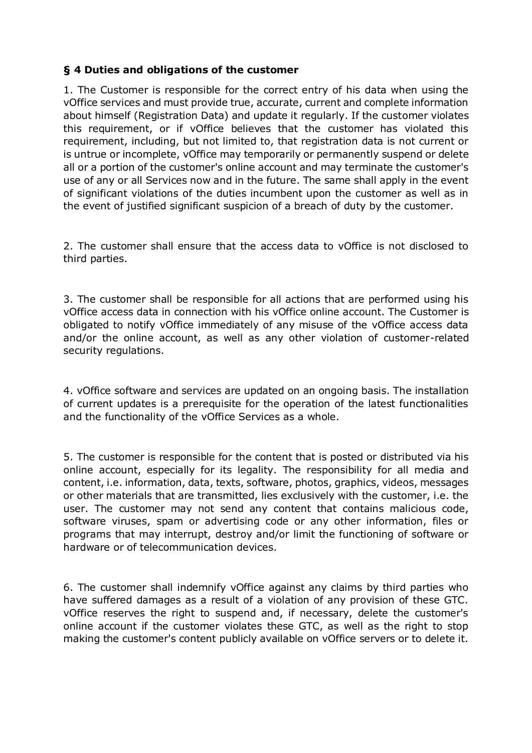## **§ 4 Duties and obligations of the customer**

1. The Customer is responsible for the correct entry of his data when using the vOffice services and must provide true, accurate, current and complete information about himself (Registration Data) and update it regularly. If the customer violates this requirement, or if vOffice believes that the customer has violated this requirement, including, but not limited to, that registration data is not current or is untrue or incomplete, vOffice may temporarily or permanently suspend or delete all or a portion of the customer's online account and may terminate the customer's use of any or all Services now and in the future. The same shall apply in the event of significant violations of the duties incumbent upon the customer as well as in the event of justified significant suspicion of a breach of duty by the customer.

2. The customer shall ensure that the access data to vOffice is not disclosed to third parties.

3. The customer shall be responsible for all actions that are performed using his vOffice access data in connection with his vOffice online account. The Customer is obligated to notify vOffice immediately of any misuse of the vOffice access data and/or the online account, as well as any other violation of customer-related security regulations.

4. vOffice software and services are updated on an ongoing basis. The installation of current updates is a prerequisite for the operation of the latest functionalities and the functionality of the vOffice Services as a whole.

5. The customer is responsible for the content that is posted or distributed via his online account, especially for its legality. The responsibility for all media and content, i.e. information, data, texts, software, photos, graphics, videos, messages or other materials that are transmitted, lies exclusively with the customer, i.e. the user. The customer may not send any content that contains malicious code, software viruses, spam or advertising code or any other information, files or programs that may interrupt, destroy and/or limit the functioning of software or hardware or of telecommunication devices.

6. The customer shall indemnify vOffice against any claims by third parties who have suffered damages as a result of a violation of any provision of these GTC. vOffice reserves the right to suspend and, if necessary, delete the customer's online account if the customer violates these GTC, as well as the right to stop making the customer's content publicly available on vOffice servers or to delete it.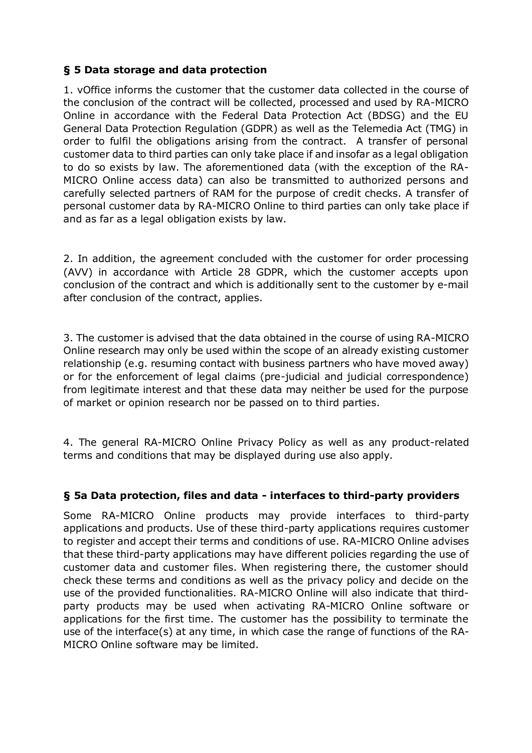## **§ 5 Data storage and data protection**

1. vOffice informs the customer that the customer data collected in the course of the conclusion of the contract will be collected, processed and used by RA-MICRO Online in accordance with the Federal Data Protection Act (BDSG) and the EU General Data Protection Regulation (GDPR) as well as the Telemedia Act (TMG) in order to fulfil the obligations arising from the contract. A transfer of personal customer data to third parties can only take place if and insofar as a legal obligation to do so exists by law. The aforementioned data (with the exception of the RA-MICRO Online access data) can also be transmitted to authorized persons and carefully selected partners of RAM for the purpose of credit checks. A transfer of personal customer data by RA-MICRO Online to third parties can only take place if and as far as a legal obligation exists by law.

2. In addition, the agreement concluded with the customer for order processing (AVV) in accordance with Article 28 GDPR, which the customer accepts upon conclusion of the contract and which is additionally sent to the customer by e-mail after conclusion of the contract, applies.

3. The customer is advised that the data obtained in the course of using RA-MICRO Online research may only be used within the scope of an already existing customer relationship (e.g. resuming contact with business partners who have moved away) or for the enforcement of legal claims (pre-judicial and judicial correspondence) from legitimate interest and that these data may neither be used for the purpose of market or opinion research nor be passed on to third parties.

4. The general RA-MICRO Online Privacy Policy as well as any product-related terms and conditions that may be displayed during use also apply.

## **§ 5a Data protection, files and data - interfaces to third-party providers**

Some RA-MICRO Online products may provide interfaces to third-party applications and products. Use of these third-party applications requires customer to register and accept their terms and conditions of use. RA-MICRO Online advises that these third-party applications may have different policies regarding the use of customer data and customer files. When registering there, the customer should check these terms and conditions as well as the privacy policy and decide on the use of the provided functionalities. RA-MICRO Online will also indicate that thirdparty products may be used when activating RA-MICRO Online software or applications for the first time. The customer has the possibility to terminate the use of the interface(s) at any time, in which case the range of functions of the RA-MICRO Online software may be limited.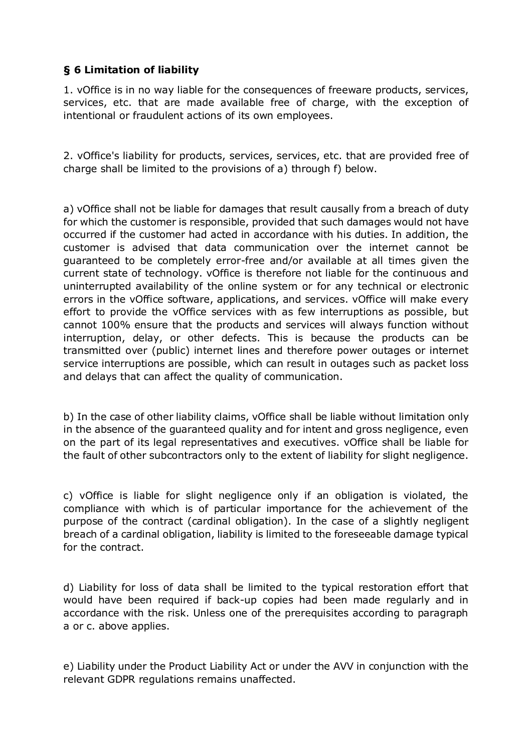## **§ 6 Limitation of liability**

1. vOffice is in no way liable for the consequences of freeware products, services, services, etc. that are made available free of charge, with the exception of intentional or fraudulent actions of its own employees.

2. vOffice's liability for products, services, services, etc. that are provided free of charge shall be limited to the provisions of a) through f) below.

a) vOffice shall not be liable for damages that result causally from a breach of duty for which the customer is responsible, provided that such damages would not have occurred if the customer had acted in accordance with his duties. In addition, the customer is advised that data communication over the internet cannot be guaranteed to be completely error-free and/or available at all times given the current state of technology. vOffice is therefore not liable for the continuous and uninterrupted availability of the online system or for any technical or electronic errors in the vOffice software, applications, and services. vOffice will make every effort to provide the vOffice services with as few interruptions as possible, but cannot 100% ensure that the products and services will always function without interruption, delay, or other defects. This is because the products can be transmitted over (public) internet lines and therefore power outages or internet service interruptions are possible, which can result in outages such as packet loss and delays that can affect the quality of communication.

b) In the case of other liability claims, vOffice shall be liable without limitation only in the absence of the guaranteed quality and for intent and gross negligence, even on the part of its legal representatives and executives. vOffice shall be liable for the fault of other subcontractors only to the extent of liability for slight negligence.

c) vOffice is liable for slight negligence only if an obligation is violated, the compliance with which is of particular importance for the achievement of the purpose of the contract (cardinal obligation). In the case of a slightly negligent breach of a cardinal obligation, liability is limited to the foreseeable damage typical for the contract.

d) Liability for loss of data shall be limited to the typical restoration effort that would have been required if back-up copies had been made regularly and in accordance with the risk. Unless one of the prerequisites according to paragraph a or c. above applies.

e) Liability under the Product Liability Act or under the AVV in conjunction with the relevant GDPR regulations remains unaffected.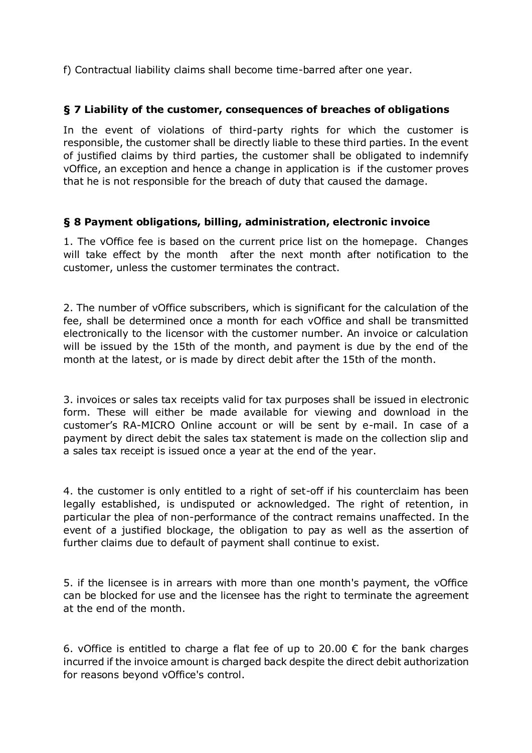f) Contractual liability claims shall become time-barred after one year.

### **§ 7 Liability of the customer, consequences of breaches of obligations**

In the event of violations of third-party rights for which the customer is responsible, the customer shall be directly liable to these third parties. In the event of justified claims by third parties, the customer shall be obligated to indemnify vOffice, an exception and hence a change in application is if the customer proves that he is not responsible for the breach of duty that caused the damage.

### **§ 8 Payment obligations, billing, administration, electronic invoice**

1. The vOffice fee is based on the current price list on the homepage. Changes will take effect by the month after the next month after notification to the customer, unless the customer terminates the contract.

2. The number of vOffice subscribers, which is significant for the calculation of the fee, shall be determined once a month for each vOffice and shall be transmitted electronically to the licensor with the customer number. An invoice or calculation will be issued by the 15th of the month, and payment is due by the end of the month at the latest, or is made by direct debit after the 15th of the month.

3. invoices or sales tax receipts valid for tax purposes shall be issued in electronic form. These will either be made available for viewing and download in the customer's RA-MICRO Online account or will be sent by e-mail. In case of a payment by direct debit the sales tax statement is made on the collection slip and a sales tax receipt is issued once a year at the end of the year.

4. the customer is only entitled to a right of set-off if his counterclaim has been legally established, is undisputed or acknowledged. The right of retention, in particular the plea of non-performance of the contract remains unaffected. In the event of a justified blockage, the obligation to pay as well as the assertion of further claims due to default of payment shall continue to exist.

5. if the licensee is in arrears with more than one month's payment, the vOffice can be blocked for use and the licensee has the right to terminate the agreement at the end of the month.

6. vOffice is entitled to charge a flat fee of up to 20.00  $\epsilon$  for the bank charges incurred if the invoice amount is charged back despite the direct debit authorization for reasons beyond vOffice's control.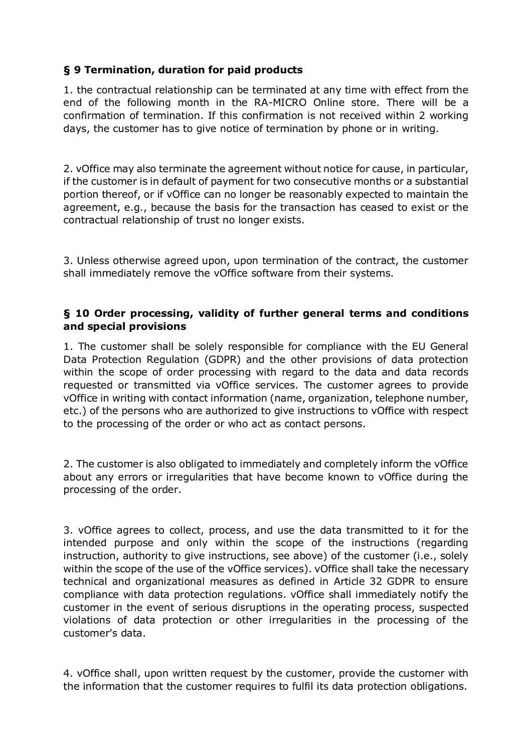## **§ 9 Termination, duration for paid products**

1. the contractual relationship can be terminated at any time with effect from the end of the following month in the RA-MICRO Online store. There will be a confirmation of termination. If this confirmation is not received within 2 working days, the customer has to give notice of termination by phone or in writing.

2. vOffice may also terminate the agreement without notice for cause, in particular, if the customer is in default of payment for two consecutive months or a substantial portion thereof, or if vOffice can no longer be reasonably expected to maintain the agreement, e.g., because the basis for the transaction has ceased to exist or the contractual relationship of trust no longer exists.

3. Unless otherwise agreed upon, upon termination of the contract, the customer shall immediately remove the vOffice software from their systems.

### **§ 10 Order processing, validity of further general terms and conditions and special provisions**

1. The customer shall be solely responsible for compliance with the EU General Data Protection Regulation (GDPR) and the other provisions of data protection within the scope of order processing with regard to the data and data records requested or transmitted via vOffice services. The customer agrees to provide vOffice in writing with contact information (name, organization, telephone number, etc.) of the persons who are authorized to give instructions to vOffice with respect to the processing of the order or who act as contact persons.

2. The customer is also obligated to immediately and completely inform the vOffice about any errors or irregularities that have become known to vOffice during the processing of the order.

3. vOffice agrees to collect, process, and use the data transmitted to it for the intended purpose and only within the scope of the instructions (regarding instruction, authority to give instructions, see above) of the customer (i.e., solely within the scope of the use of the vOffice services). vOffice shall take the necessary technical and organizational measures as defined in Article 32 GDPR to ensure compliance with data protection regulations. vOffice shall immediately notify the customer in the event of serious disruptions in the operating process, suspected violations of data protection or other irregularities in the processing of the customer's data.

4. vOffice shall, upon written request by the customer, provide the customer with the information that the customer requires to fulfil its data protection obligations.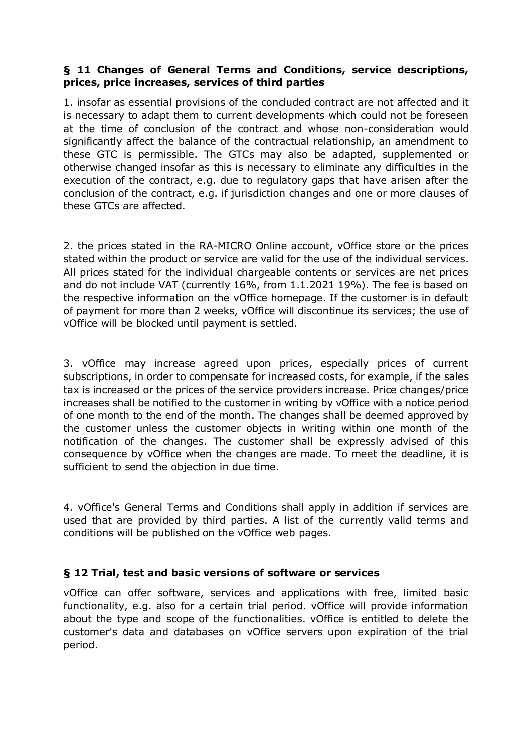### **§ 11 Changes of General Terms and Conditions, service descriptions, prices, price increases, services of third parties**

1. insofar as essential provisions of the concluded contract are not affected and it is necessary to adapt them to current developments which could not be foreseen at the time of conclusion of the contract and whose non-consideration would significantly affect the balance of the contractual relationship, an amendment to these GTC is permissible. The GTCs may also be adapted, supplemented or otherwise changed insofar as this is necessary to eliminate any difficulties in the execution of the contract, e.g. due to regulatory gaps that have arisen after the conclusion of the contract, e.g. if jurisdiction changes and one or more clauses of these GTCs are affected.

2. the prices stated in the RA-MICRO Online account, vOffice store or the prices stated within the product or service are valid for the use of the individual services. All prices stated for the individual chargeable contents or services are net prices and do not include VAT (currently 16%, from 1.1.2021 19%). The fee is based on the respective information on the vOffice homepage. If the customer is in default of payment for more than 2 weeks, vOffice will discontinue its services; the use of vOffice will be blocked until payment is settled.

3. vOffice may increase agreed upon prices, especially prices of current subscriptions, in order to compensate for increased costs, for example, if the sales tax is increased or the prices of the service providers increase. Price changes/price increases shall be notified to the customer in writing by vOffice with a notice period of one month to the end of the month. The changes shall be deemed approved by the customer unless the customer objects in writing within one month of the notification of the changes. The customer shall be expressly advised of this consequence by vOffice when the changes are made. To meet the deadline, it is sufficient to send the objection in due time.

4. vOffice's General Terms and Conditions shall apply in addition if services are used that are provided by third parties. A list of the currently valid terms and conditions will be published on the vOffice web pages.

## **§ 12 Trial, test and basic versions of software or services**

vOffice can offer software, services and applications with free, limited basic functionality, e.g. also for a certain trial period. vOffice will provide information about the type and scope of the functionalities. vOffice is entitled to delete the customer's data and databases on vOffice servers upon expiration of the trial period.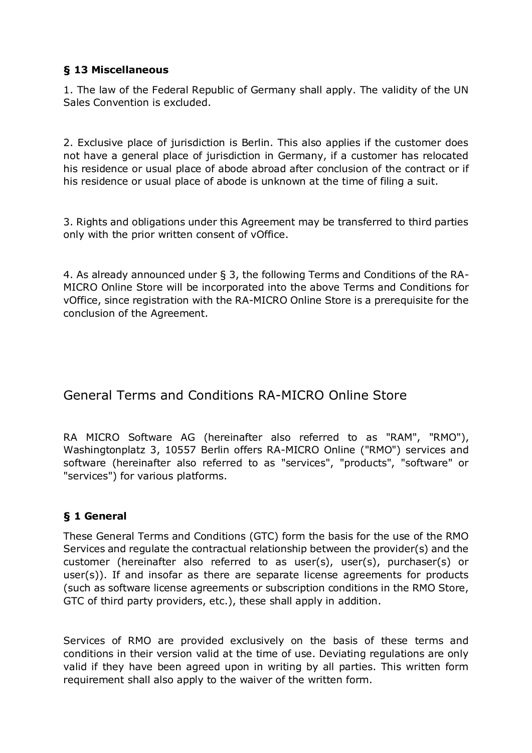## **§ 13 Miscellaneous**

1. The law of the Federal Republic of Germany shall apply. The validity of the UN Sales Convention is excluded.

2. Exclusive place of jurisdiction is Berlin. This also applies if the customer does not have a general place of jurisdiction in Germany, if a customer has relocated his residence or usual place of abode abroad after conclusion of the contract or if his residence or usual place of abode is unknown at the time of filing a suit.

3. Rights and obligations under this Agreement may be transferred to third parties only with the prior written consent of vOffice.

4. As already announced under § 3, the following Terms and Conditions of the RA-MICRO Online Store will be incorporated into the above Terms and Conditions for vOffice, since registration with the RA-MICRO Online Store is a prerequisite for the conclusion of the Agreement.

# General Terms and Conditions RA-MICRO Online Store

RA MICRO Software AG (hereinafter also referred to as "RAM", "RMO"), Washingtonplatz 3, 10557 Berlin offers RA-MICRO Online ("RMO") services and software (hereinafter also referred to as "services", "products", "software" or "services") for various platforms.

## **§ 1 General**

These General Terms and Conditions (GTC) form the basis for the use of the RMO Services and regulate the contractual relationship between the provider(s) and the customer (hereinafter also referred to as user(s), user(s), purchaser(s) or user(s)). If and insofar as there are separate license agreements for products (such as software license agreements or subscription conditions in the RMO Store, GTC of third party providers, etc.), these shall apply in addition.

Services of RMO are provided exclusively on the basis of these terms and conditions in their version valid at the time of use. Deviating regulations are only valid if they have been agreed upon in writing by all parties. This written form requirement shall also apply to the waiver of the written form.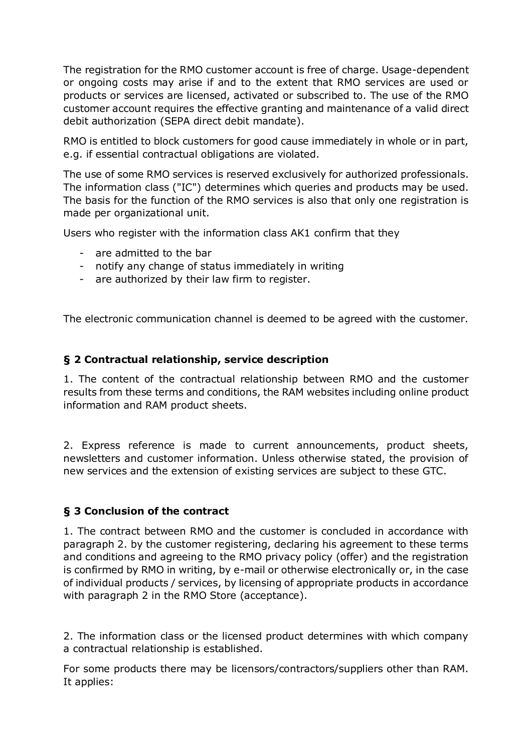The registration for the RMO customer account is free of charge. Usage-dependent or ongoing costs may arise if and to the extent that RMO services are used or products or services are licensed, activated or subscribed to. The use of the RMO customer account requires the effective granting and maintenance of a valid direct debit authorization (SEPA direct debit mandate).

RMO is entitled to block customers for good cause immediately in whole or in part, e.g. if essential contractual obligations are violated.

The use of some RMO services is reserved exclusively for authorized professionals. The information class ("IC") determines which queries and products may be used. The basis for the function of the RMO services is also that only one registration is made per organizational unit.

Users who register with the information class AK1 confirm that they

- are admitted to the bar
- notify any change of status immediately in writing
- are authorized by their law firm to register.

The electronic communication channel is deemed to be agreed with the customer.

### **§ 2 Contractual relationship, service description**

1. The content of the contractual relationship between RMO and the customer results from these terms and conditions, the RAM websites including online product information and RAM product sheets.

2. Express reference is made to current announcements, product sheets, newsletters and customer information. Unless otherwise stated, the provision of new services and the extension of existing services are subject to these GTC.

### **§ 3 Conclusion of the contract**

1. The contract between RMO and the customer is concluded in accordance with paragraph 2. by the customer registering, declaring his agreement to these terms and conditions and agreeing to the RMO privacy policy (offer) and the registration is confirmed by RMO in writing, by e-mail or otherwise electronically or, in the case of individual products / services, by licensing of appropriate products in accordance with paragraph 2 in the RMO Store (acceptance).

2. The information class or the licensed product determines with which company a contractual relationship is established.

For some products there may be licensors/contractors/suppliers other than RAM. It applies: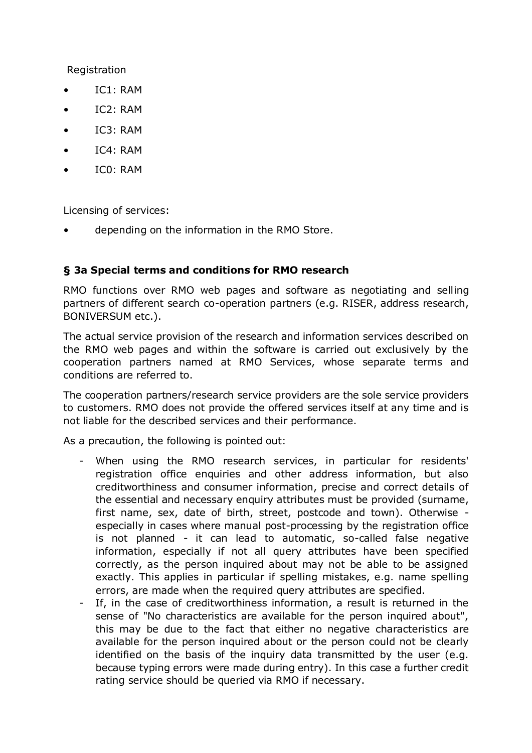Registration

- IC1: RAM
- IC2: RAM
- IC3: RAM
- IC4: RAM
- IC0: RAM

Licensing of services:

• depending on the information in the RMO Store.

### **§ 3a Special terms and conditions for RMO research**

RMO functions over RMO web pages and software as negotiating and selling partners of different search co-operation partners (e.g. RISER, address research, BONIVERSUM etc.).

The actual service provision of the research and information services described on the RMO web pages and within the software is carried out exclusively by the cooperation partners named at RMO Services, whose separate terms and conditions are referred to.

The cooperation partners/research service providers are the sole service providers to customers. RMO does not provide the offered services itself at any time and is not liable for the described services and their performance.

As a precaution, the following is pointed out:

- When using the RMO research services, in particular for residents' registration office enquiries and other address information, but also creditworthiness and consumer information, precise and correct details of the essential and necessary enquiry attributes must be provided (surname, first name, sex, date of birth, street, postcode and town). Otherwise especially in cases where manual post-processing by the registration office is not planned - it can lead to automatic, so-called false negative information, especially if not all query attributes have been specified correctly, as the person inquired about may not be able to be assigned exactly. This applies in particular if spelling mistakes, e.g. name spelling errors, are made when the required query attributes are specified.
- If, in the case of creditworthiness information, a result is returned in the sense of "No characteristics are available for the person inquired about", this may be due to the fact that either no negative characteristics are available for the person inquired about or the person could not be clearly identified on the basis of the inquiry data transmitted by the user (e.g. because typing errors were made during entry). In this case a further credit rating service should be queried via RMO if necessary.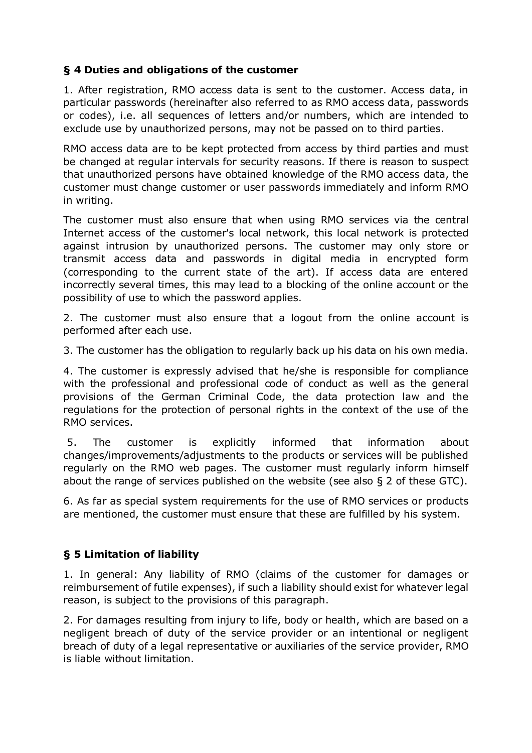## **§ 4 Duties and obligations of the customer**

1. After registration, RMO access data is sent to the customer. Access data, in particular passwords (hereinafter also referred to as RMO access data, passwords or codes), i.e. all sequences of letters and/or numbers, which are intended to exclude use by unauthorized persons, may not be passed on to third parties.

RMO access data are to be kept protected from access by third parties and must be changed at regular intervals for security reasons. If there is reason to suspect that unauthorized persons have obtained knowledge of the RMO access data, the customer must change customer or user passwords immediately and inform RMO in writing.

The customer must also ensure that when using RMO services via the central Internet access of the customer's local network, this local network is protected against intrusion by unauthorized persons. The customer may only store or transmit access data and passwords in digital media in encrypted form (corresponding to the current state of the art). If access data are entered incorrectly several times, this may lead to a blocking of the online account or the possibility of use to which the password applies.

2. The customer must also ensure that a logout from the online account is performed after each use.

3. The customer has the obligation to regularly back up his data on his own media.

4. The customer is expressly advised that he/she is responsible for compliance with the professional and professional code of conduct as well as the general provisions of the German Criminal Code, the data protection law and the regulations for the protection of personal rights in the context of the use of the RMO services.

5. The customer is explicitly informed that information about changes/improvements/adjustments to the products or services will be published regularly on the RMO web pages. The customer must regularly inform himself about the range of services published on the website (see also § 2 of these GTC).

6. As far as special system requirements for the use of RMO services or products are mentioned, the customer must ensure that these are fulfilled by his system.

## **§ 5 Limitation of liability**

1. In general: Any liability of RMO (claims of the customer for damages or reimbursement of futile expenses), if such a liability should exist for whatever legal reason, is subject to the provisions of this paragraph.

2. For damages resulting from injury to life, body or health, which are based on a negligent breach of duty of the service provider or an intentional or negligent breach of duty of a legal representative or auxiliaries of the service provider, RMO is liable without limitation.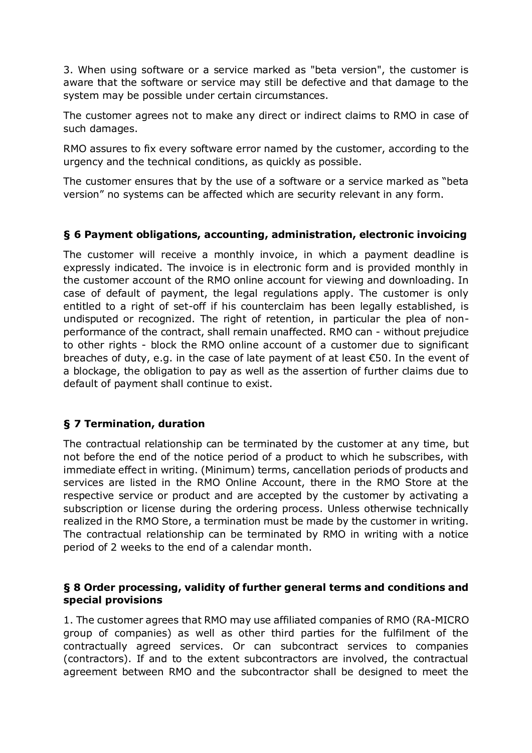3. When using software or a service marked as "beta version", the customer is aware that the software or service may still be defective and that damage to the system may be possible under certain circumstances.

The customer agrees not to make any direct or indirect claims to RMO in case of such damages.

RMO assures to fix every software error named by the customer, according to the urgency and the technical conditions, as quickly as possible.

The customer ensures that by the use of a software or a service marked as "beta version" no systems can be affected which are security relevant in any form.

## **§ 6 Payment obligations, accounting, administration, electronic invoicing**

The customer will receive a monthly invoice, in which a payment deadline is expressly indicated. The invoice is in electronic form and is provided monthly in the customer account of the RMO online account for viewing and downloading. In case of default of payment, the legal regulations apply. The customer is only entitled to a right of set-off if his counterclaim has been legally established, is undisputed or recognized. The right of retention, in particular the plea of nonperformance of the contract, shall remain unaffected. RMO can - without prejudice to other rights - block the RMO online account of a customer due to significant breaches of duty, e.g. in the case of late payment of at least €50. In the event of a blockage, the obligation to pay as well as the assertion of further claims due to default of payment shall continue to exist.

## **§ 7 Termination, duration**

The contractual relationship can be terminated by the customer at any time, but not before the end of the notice period of a product to which he subscribes, with immediate effect in writing. (Minimum) terms, cancellation periods of products and services are listed in the RMO Online Account, there in the RMO Store at the respective service or product and are accepted by the customer by activating a subscription or license during the ordering process. Unless otherwise technically realized in the RMO Store, a termination must be made by the customer in writing. The contractual relationship can be terminated by RMO in writing with a notice period of 2 weeks to the end of a calendar month.

### **§ 8 Order processing, validity of further general terms and conditions and special provisions**

1. The customer agrees that RMO may use affiliated companies of RMO (RA-MICRO group of companies) as well as other third parties for the fulfilment of the contractually agreed services. Or can subcontract services to companies (contractors). If and to the extent subcontractors are involved, the contractual agreement between RMO and the subcontractor shall be designed to meet the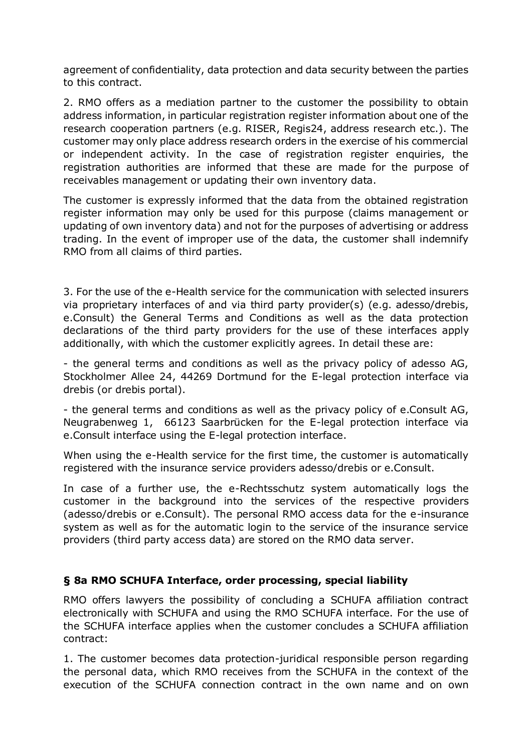agreement of confidentiality, data protection and data security between the parties to this contract.

2. RMO offers as a mediation partner to the customer the possibility to obtain address information, in particular registration register information about one of the research cooperation partners (e.g. RISER, Regis24, address research etc.). The customer may only place address research orders in the exercise of his commercial or independent activity. In the case of registration register enquiries, the registration authorities are informed that these are made for the purpose of receivables management or updating their own inventory data.

The customer is expressly informed that the data from the obtained registration register information may only be used for this purpose (claims management or updating of own inventory data) and not for the purposes of advertising or address trading. In the event of improper use of the data, the customer shall indemnify RMO from all claims of third parties.

3. For the use of the e-Health service for the communication with selected insurers via proprietary interfaces of and via third party provider(s) (e.g. adesso/drebis, e.Consult) the General Terms and Conditions as well as the data protection declarations of the third party providers for the use of these interfaces apply additionally, with which the customer explicitly agrees. In detail these are:

- the general terms and conditions as well as the privacy policy of adesso AG, Stockholmer Allee 24, 44269 Dortmund for the E-legal protection interface via drebis (or drebis portal).

- the general terms and conditions as well as the privacy policy of e.Consult AG, Neugrabenweg 1, 66123 Saarbrücken for the E-legal protection interface via e.Consult interface using the E-legal protection interface.

When using the e-Health service for the first time, the customer is automatically registered with the insurance service providers adesso/drebis or e.Consult.

In case of a further use, the e-Rechtsschutz system automatically logs the customer in the background into the services of the respective providers (adesso/drebis or e.Consult). The personal RMO access data for the e-insurance system as well as for the automatic login to the service of the insurance service providers (third party access data) are stored on the RMO data server.

## **§ 8a RMO SCHUFA Interface, order processing, special liability**

RMO offers lawyers the possibility of concluding a SCHUFA affiliation contract electronically with SCHUFA and using the RMO SCHUFA interface. For the use of the SCHUFA interface applies when the customer concludes a SCHUFA affiliation contract:

1. The customer becomes data protection-juridical responsible person regarding the personal data, which RMO receives from the SCHUFA in the context of the execution of the SCHUFA connection contract in the own name and on own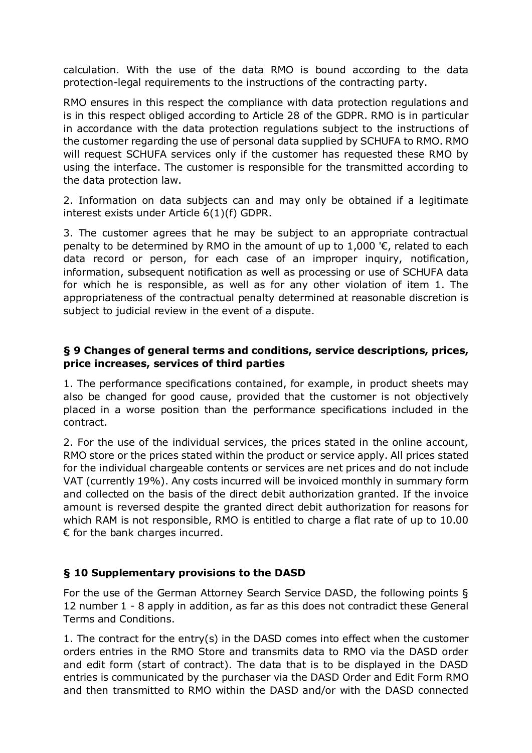calculation. With the use of the data RMO is bound according to the data protection-legal requirements to the instructions of the contracting party.

RMO ensures in this respect the compliance with data protection regulations and is in this respect obliged according to Article 28 of the GDPR. RMO is in particular in accordance with the data protection regulations subject to the instructions of the customer regarding the use of personal data supplied by SCHUFA to RMO. RMO will request SCHUFA services only if the customer has requested these RMO by using the interface. The customer is responsible for the transmitted according to the data protection law.

2. Information on data subjects can and may only be obtained if a legitimate interest exists under Article 6(1)(f) GDPR.

3. The customer agrees that he may be subject to an appropriate contractual penalty to be determined by RMO in the amount of up to 1,000  $\epsilon$ , related to each data record or person, for each case of an improper inquiry, notification, information, subsequent notification as well as processing or use of SCHUFA data for which he is responsible, as well as for any other violation of item 1. The appropriateness of the contractual penalty determined at reasonable discretion is subject to judicial review in the event of a dispute.

## **§ 9 Changes of general terms and conditions, service descriptions, prices, price increases, services of third parties**

1. The performance specifications contained, for example, in product sheets may also be changed for good cause, provided that the customer is not objectively placed in a worse position than the performance specifications included in the contract.

2. For the use of the individual services, the prices stated in the online account, RMO store or the prices stated within the product or service apply. All prices stated for the individual chargeable contents or services are net prices and do not include VAT (currently 19%). Any costs incurred will be invoiced monthly in summary form and collected on the basis of the direct debit authorization granted. If the invoice amount is reversed despite the granted direct debit authorization for reasons for which RAM is not responsible, RMO is entitled to charge a flat rate of up to 10.00  $\epsilon$  for the bank charges incurred.

### **§ 10 Supplementary provisions to the DASD**

For the use of the German Attorney Search Service DASD, the following points § 12 number 1 - 8 apply in addition, as far as this does not contradict these General Terms and Conditions.

1. The contract for the entry(s) in the DASD comes into effect when the customer orders entries in the RMO Store and transmits data to RMO via the DASD order and edit form (start of contract). The data that is to be displayed in the DASD entries is communicated by the purchaser via the DASD Order and Edit Form RMO and then transmitted to RMO within the DASD and/or with the DASD connected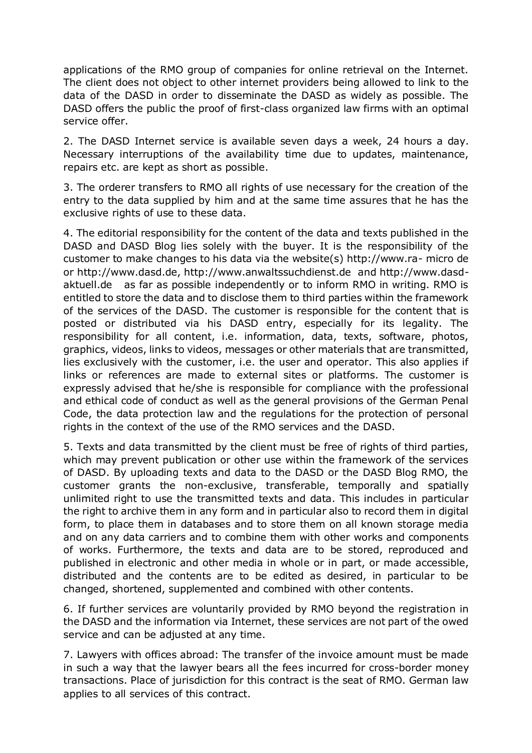applications of the RMO group of companies for online retrieval on the Internet. The client does not object to other internet providers being allowed to link to the data of the DASD in order to disseminate the DASD as widely as possible. The DASD offers the public the proof of first-class organized law firms with an optimal service offer.

2. The DASD Internet service is available seven days a week, 24 hours a day. Necessary interruptions of the availability time due to updates, maintenance, repairs etc. are kept as short as possible.

3. The orderer transfers to RMO all rights of use necessary for the creation of the entry to the data supplied by him and at the same time assures that he has the exclusive rights of use to these data.

4. The editorial responsibility for the content of the data and texts published in the DASD and DASD Blog lies solely with the buyer. It is the responsibility of the customer to make changes to his data via the website(s) http://www.ra- micro de or http://www.dasd.de, http://www.anwaltssuchdienst.de and http://www.dasdaktuell.de as far as possible independently or to inform RMO in writing. RMO is entitled to store the data and to disclose them to third parties within the framework of the services of the DASD. The customer is responsible for the content that is posted or distributed via his DASD entry, especially for its legality. The responsibility for all content, i.e. information, data, texts, software, photos, graphics, videos, links to videos, messages or other materials that are transmitted, lies exclusively with the customer, i.e. the user and operator. This also applies if links or references are made to external sites or platforms. The customer is expressly advised that he/she is responsible for compliance with the professional and ethical code of conduct as well as the general provisions of the German Penal Code, the data protection law and the regulations for the protection of personal rights in the context of the use of the RMO services and the DASD.

5. Texts and data transmitted by the client must be free of rights of third parties, which may prevent publication or other use within the framework of the services of DASD. By uploading texts and data to the DASD or the DASD Blog RMO, the customer grants the non-exclusive, transferable, temporally and spatially unlimited right to use the transmitted texts and data. This includes in particular the right to archive them in any form and in particular also to record them in digital form, to place them in databases and to store them on all known storage media and on any data carriers and to combine them with other works and components of works. Furthermore, the texts and data are to be stored, reproduced and published in electronic and other media in whole or in part, or made accessible, distributed and the contents are to be edited as desired, in particular to be changed, shortened, supplemented and combined with other contents.

6. If further services are voluntarily provided by RMO beyond the registration in the DASD and the information via Internet, these services are not part of the owed service and can be adjusted at any time.

7. Lawyers with offices abroad: The transfer of the invoice amount must be made in such a way that the lawyer bears all the fees incurred for cross-border money transactions. Place of jurisdiction for this contract is the seat of RMO. German law applies to all services of this contract.